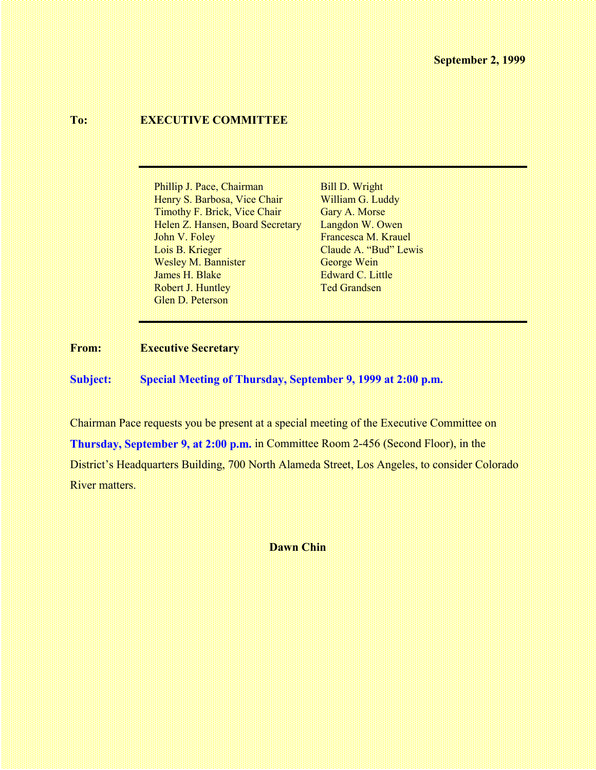## **To: EXECUTIVE COMMITTEE**

Phillip J. Pace, Chairman Bill D. Wright Henry S. Barbosa, Vice Chair William G. Luddy Timothy F. Brick, Vice Chair Gary A. Morse Helen Z. Hansen, Board Secretary Langdon W. Owen John V. Foley Francesca M. Krauel Lois B. Krieger Claude A. "Bud" Lewis Wesley M. Bannister George Wein James H. Blake Edward C. Little Robert J. Huntley Ted Grandsen Glen D. Peterson

#### **From: Executive Secretary**

**Subject: Special Meeting of Thursday, September 9, 1999 at 2:00 p.m.**

Chairman Pace requests you be present at a special meeting of the Executive Committee on **Thursday, September 9, at 2:00 p.m.** in Committee Room 2-456 (Second Floor), in the District's Headquarters Building, 700 North Alameda Street, Los Angeles, to consider Colorado River matters.

**Dawn Chin**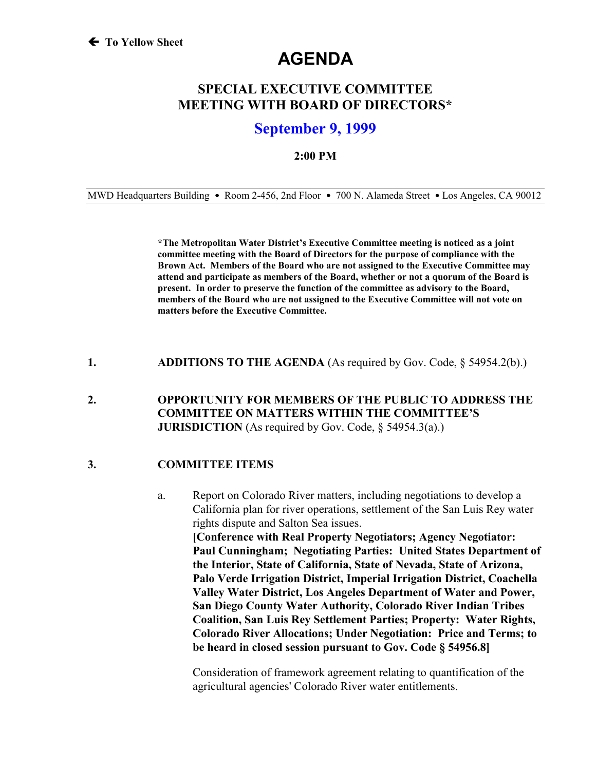# **AGENDA**

# **SPECIAL EXECUTIVE COMMITTEE MEETING WITH BOARD OF DIRECTORS\***

# **September 9, 1999**

#### **2:00 PM**

MWD Headquarters Building • Room 2-456, 2nd Floor • 700 N. Alameda Street • Los Angeles, CA 90012

**\*The Metropolitan Water District's Executive Committee meeting is noticed as a joint committee meeting with the Board of Directors for the purpose of compliance with the Brown Act. Members of the Board who are not assigned to the Executive Committee may attend and participate as members of the Board, whether or not a quorum of the Board is present. In order to preserve the function of the committee as advisory to the Board, members of the Board who are not assigned to the Executive Committee will not vote on matters before the Executive Committee.**

**1. ADDITIONS TO THE AGENDA** (As required by Gov. Code, § 54954.2(b).)

### **2. OPPORTUNITY FOR MEMBERS OF THE PUBLIC TO ADDRESS THE COMMITTEE ON MATTERS WITHIN THE COMMITTEE'S JURISDICTION** (As required by Gov. Code, § 54954.3(a).)

### **3. COMMITTEE ITEMS**

a. Report on Colorado River matters, including negotiations to develop a California plan for river operations, settlement of the San Luis Rey water rights dispute and Salton Sea issues. **[Conference with Real Property Negotiators; Agency Negotiator: Paul Cunningham; Negotiating Parties: United States Department of the Interior, State of California, State of Nevada, State of Arizona, Palo Verde Irrigation District, Imperial Irrigation District, Coachella Valley Water District, Los Angeles Department of Water and Power, San Diego County Water Authority, Colorado River Indian Tribes Coalition, San Luis Rey Settlement Parties; Property: Water Rights, Colorado River Allocations; Under Negotiation: Price and Terms; to be heard in closed session pursuant to Gov. Code § 54956.8]**

Consideration of framework agreement relating to quantification of the agricultural agencies' Colorado River water entitlements.